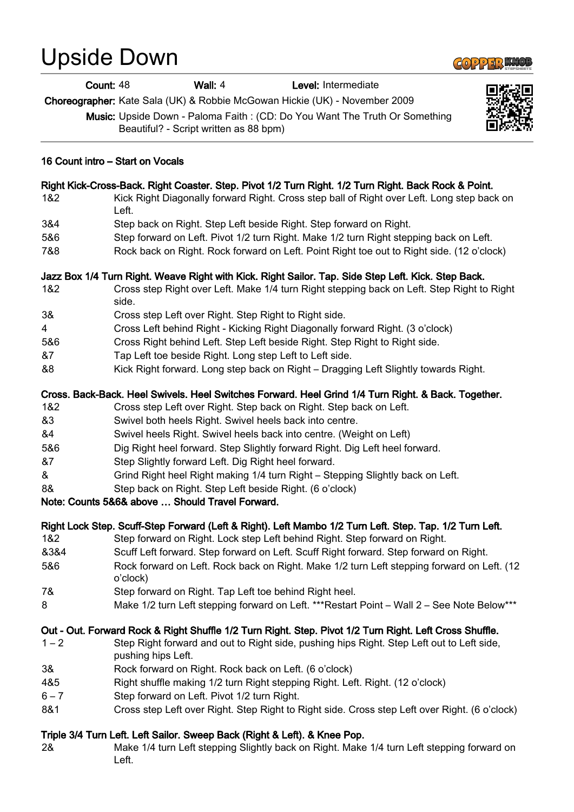# Upside Down



**Count: 48 Wall: 4 Level: Intermediate** 

Choreographer: Kate Sala (UK) & Robbie McGowan Hickie (UK) - November 2009

Music: Upside Down - Paloma Faith : (CD: Do You Want The Truth Or Something Beautiful? - Script written as 88 bpm)



#### 16 Count intro – Start on Vocals

# Right Kick-Cross-Back. Right Coaster. Step. Pivot 1/2 Turn Right. 1/2 Turn Right. Back Rock & Point.

- 1&2 Kick Right Diagonally forward Right. Cross step ball of Right over Left. Long step back on Left.
- 3&4 Step back on Right. Step Left beside Right. Step forward on Right.
- 5&6 Step forward on Left. Pivot 1/2 turn Right. Make 1/2 turn Right stepping back on Left.
- 7&8 Rock back on Right. Rock forward on Left. Point Right toe out to Right side. (12 o'clock)

## Jazz Box 1/4 Turn Right. Weave Right with Kick. Right Sailor. Tap. Side Step Left. Kick. Step Back.

- 1&2 Cross step Right over Left. Make 1/4 turn Right stepping back on Left. Step Right to Right side.
- 3& Cross step Left over Right. Step Right to Right side.
- 4 Cross Left behind Right Kicking Right Diagonally forward Right. (3 o'clock)
- 5&6 Cross Right behind Left. Step Left beside Right. Step Right to Right side.
- &7 Tap Left toe beside Right. Long step Left to Left side.
- &8 Kick Right forward. Long step back on Right Dragging Left Slightly towards Right.

#### Cross. Back-Back. Heel Swivels. Heel Switches Forward. Heel Grind 1/4 Turn Right. & Back. Together.

- 1&2 Cross step Left over Right. Step back on Right. Step back on Left.
- &3 Swivel both heels Right. Swivel heels back into centre.
- &4 Swivel heels Right. Swivel heels back into centre. (Weight on Left)
- 5&6 Dig Right heel forward. Step Slightly forward Right. Dig Left heel forward.
- &7 Step Slightly forward Left. Dig Right heel forward.
- & Grind Right heel Right making 1/4 turn Right Stepping Slightly back on Left.
- 8& Step back on Right. Step Left beside Right. (6 o'clock)

## Note: Counts 5&6& above … Should Travel Forward.

## Right Lock Step. Scuff-Step Forward (Left & Right). Left Mambo 1/2 Turn Left. Step. Tap. 1/2 Turn Left.

- 1&2 Step forward on Right. Lock step Left behind Right. Step forward on Right.
- &3&4 Scuff Left forward. Step forward on Left. Scuff Right forward. Step forward on Right.
- 5&6 Rock forward on Left. Rock back on Right. Make 1/2 turn Left stepping forward on Left. (12 o'clock)
- 7& Step forward on Right. Tap Left toe behind Right heel.
- 8 Make 1/2 turn Left stepping forward on Left. \*\*\* Restart Point Wall 2 See Note Below\*\*\*

## Out - Out. Forward Rock & Right Shuffle 1/2 Turn Right. Step. Pivot 1/2 Turn Right. Left Cross Shuffle.

- 1 2 Step Right forward and out to Right side, pushing hips Right. Step Left out to Left side, pushing hips Left.
- 3& Rock forward on Right. Rock back on Left. (6 o'clock)
- 4&5 Right shuffle making 1/2 turn Right stepping Right. Left. Right. (12 o'clock)
- 6 7 Step forward on Left. Pivot 1/2 turn Right.
- 8&1 Cross step Left over Right. Step Right to Right side. Cross step Left over Right. (6 o'clock)

## Triple 3/4 Turn Left. Left Sailor. Sweep Back (Right & Left). & Knee Pop.

2& Make 1/4 turn Left stepping Slightly back on Right. Make 1/4 turn Left stepping forward on Left.